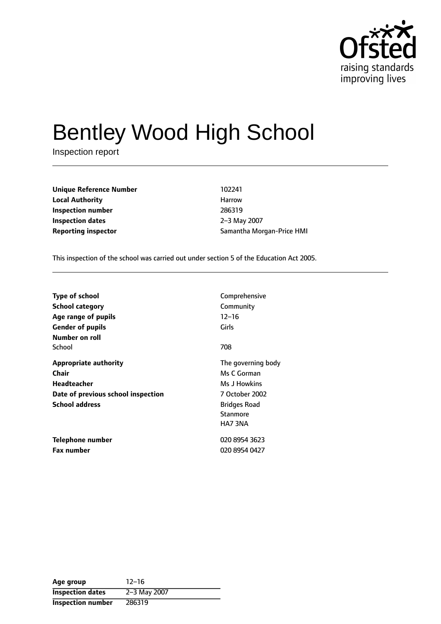

# Bentley Wood High School

Inspection report

**Unique Reference Number** 102241 **Local Authority Harrow** Harrow **Inspection number** 286319 **Inspection dates** 2-3 May 2007

**Reporting inspector** Samantha Morgan-Price HMI

This inspection of the school was carried out under section 5 of the Education Act 2005.

| Type of school                                                                                                             | Comprehensive                                                                                                            |
|----------------------------------------------------------------------------------------------------------------------------|--------------------------------------------------------------------------------------------------------------------------|
| <b>School category</b>                                                                                                     | Community                                                                                                                |
| Age range of pupils                                                                                                        | $12 - 16$                                                                                                                |
| <b>Gender of pupils</b>                                                                                                    | Girls                                                                                                                    |
| Number on roll<br>School                                                                                                   | 708                                                                                                                      |
| <b>Appropriate authority</b><br>Chair<br><b>Headteacher</b><br>Date of previous school inspection<br><b>School address</b> | The governing body<br>Ms C Gorman<br>Ms J Howkins<br>7 October 2002<br><b>Bridges Road</b><br><b>Stanmore</b><br>HA7 3NA |
| Telephone number                                                                                                           | 020 8954 3623                                                                                                            |
| <b>Fax number</b>                                                                                                          | 020 8954 0427                                                                                                            |

| Age group                | $12 - 16$    |
|--------------------------|--------------|
| <b>Inspection dates</b>  | 2-3 May 2007 |
| <b>Inspection number</b> | 286319       |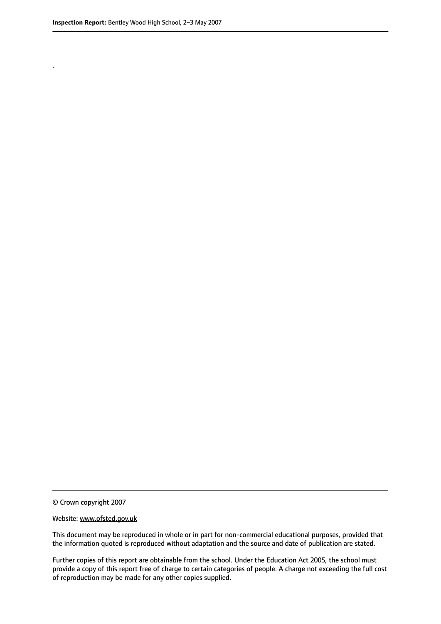.

© Crown copyright 2007

#### Website: www.ofsted.gov.uk

This document may be reproduced in whole or in part for non-commercial educational purposes, provided that the information quoted is reproduced without adaptation and the source and date of publication are stated.

Further copies of this report are obtainable from the school. Under the Education Act 2005, the school must provide a copy of this report free of charge to certain categories of people. A charge not exceeding the full cost of reproduction may be made for any other copies supplied.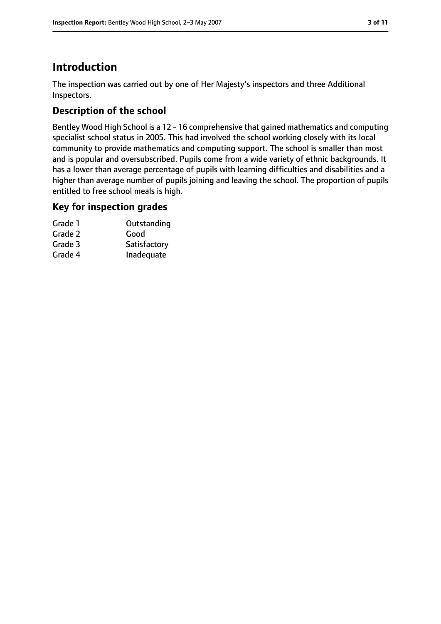# **Introduction**

The inspection was carried out by one of Her Majesty's inspectors and three Additional Inspectors.

# **Description of the school**

Bentley Wood High School is a 12 - 16 comprehensive that gained mathematics and computing specialist school status in 2005. This had involved the school working closely with its local community to provide mathematics and computing support. The school is smaller than most and is popular and oversubscribed. Pupils come from a wide variety of ethnic backgrounds. It has a lower than average percentage of pupils with learning difficulties and disabilities and a higher than average number of pupils joining and leaving the school. The proportion of pupils entitled to free school meals is high.

## **Key for inspection grades**

| Grade 1 | Outstanding  |
|---------|--------------|
| Grade 2 | Good         |
| Grade 3 | Satisfactory |
| Grade 4 | Inadequate   |
|         |              |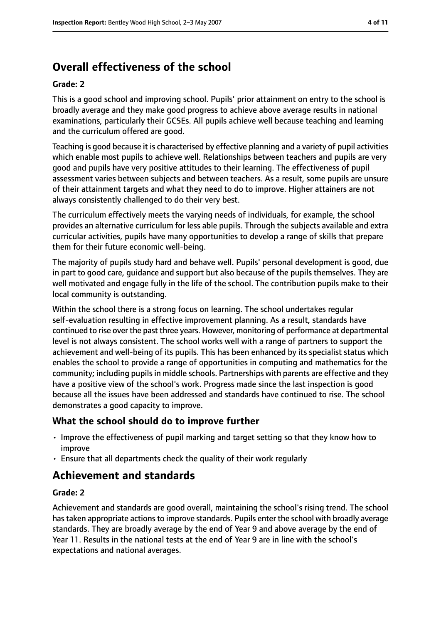# **Overall effectiveness of the school**

#### **Grade: 2**

This is a good school and improving school. Pupils' prior attainment on entry to the school is broadly average and they make good progress to achieve above average results in national examinations, particularly their GCSEs. All pupils achieve well because teaching and learning and the curriculum offered are good.

Teaching is good because it is characterised by effective planning and a variety of pupil activities which enable most pupils to achieve well. Relationships between teachers and pupils are very good and pupils have very positive attitudes to their learning. The effectiveness of pupil assessment varies between subjects and between teachers. As a result, some pupils are unsure of their attainment targets and what they need to do to improve. Higher attainers are not always consistently challenged to do their very best.

The curriculum effectively meets the varying needs of individuals, for example, the school provides an alternative curriculum for less able pupils. Through the subjects available and extra curricular activities, pupils have many opportunities to develop a range of skills that prepare them for their future economic well-being.

The majority of pupils study hard and behave well. Pupils' personal development is good, due in part to good care, guidance and support but also because of the pupils themselves. They are well motivated and engage fully in the life of the school. The contribution pupils make to their local community is outstanding.

Within the school there is a strong focus on learning. The school undertakes regular self-evaluation resulting in effective improvement planning. As a result, standards have continued to rise over the past three years. However, monitoring of performance at departmental level is not always consistent. The school works well with a range of partners to support the achievement and well-being of its pupils. This has been enhanced by its specialist status which enables the school to provide a range of opportunities in computing and mathematics for the community; including pupils in middle schools. Partnerships with parents are effective and they have a positive view of the school's work. Progress made since the last inspection is good because all the issues have been addressed and standards have continued to rise. The school demonstrates a good capacity to improve.

#### **What the school should do to improve further**

- Improve the effectiveness of pupil marking and target setting so that they know how to improve
- Ensure that all departments check the quality of their work regularly

# **Achievement and standards**

#### **Grade: 2**

Achievement and standards are good overall, maintaining the school's rising trend. The school has taken appropriate actions to improve standards. Pupils enter the school with broadly average standards. They are broadly average by the end of Year 9 and above average by the end of Year 11. Results in the national tests at the end of Year 9 are in line with the school's expectations and national averages.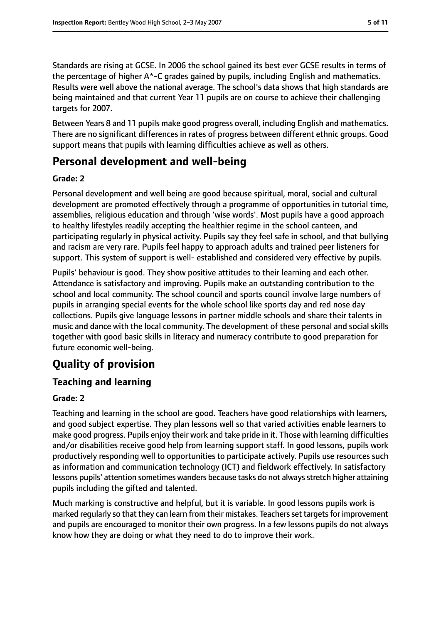Standards are rising at GCSE. In 2006 the school gained its best ever GCSE results in terms of the percentage of higher A\*-C grades gained by pupils, including English and mathematics. Results were well above the national average. The school's data shows that high standards are being maintained and that current Year 11 pupils are on course to achieve their challenging targets for 2007.

Between Years 8 and 11 pupils make good progress overall, including English and mathematics. There are no significant differences in rates of progress between different ethnic groups. Good support means that pupils with learning difficulties achieve as well as others.

# **Personal development and well-being**

#### **Grade: 2**

Personal development and well being are good because spiritual, moral, social and cultural development are promoted effectively through a programme of opportunities in tutorial time, assemblies, religious education and through 'wise words'. Most pupils have a good approach to healthy lifestyles readily accepting the healthier regime in the school canteen, and participating regularly in physical activity. Pupils say they feel safe in school, and that bullying and racism are very rare. Pupils feel happy to approach adults and trained peer listeners for support. This system of support is well- established and considered very effective by pupils.

Pupils' behaviour is good. They show positive attitudes to their learning and each other. Attendance is satisfactory and improving. Pupils make an outstanding contribution to the school and local community. The school council and sports council involve large numbers of pupils in arranging special events for the whole school like sports day and red nose day collections. Pupils give language lessons in partner middle schools and share their talents in music and dance with the local community. The development of these personal and social skills together with good basic skills in literacy and numeracy contribute to good preparation for future economic well-being.

# **Quality of provision**

# **Teaching and learning**

## **Grade: 2**

Teaching and learning in the school are good. Teachers have good relationships with learners, and good subject expertise. They plan lessons well so that varied activities enable learners to make good progress. Pupils enjoy their work and take pride in it. Those with learning difficulties and/or disabilities receive good help from learning support staff. In good lessons, pupils work productively responding well to opportunities to participate actively. Pupils use resources such as information and communication technology (ICT) and fieldwork effectively. In satisfactory lessons pupils' attention sometimes wanders because tasks do not always stretch higher attaining pupils including the gifted and talented.

Much marking is constructive and helpful, but it is variable. In good lessons pupils work is marked regularly so that they can learn from their mistakes. Teachers set targets for improvement and pupils are encouraged to monitor their own progress. In a few lessons pupils do not always know how they are doing or what they need to do to improve their work.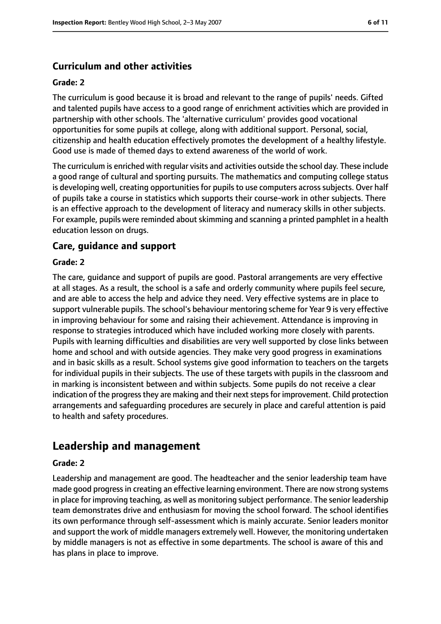## **Curriculum and other activities**

#### **Grade: 2**

The curriculum is good because it is broad and relevant to the range of pupils' needs. Gifted and talented pupils have access to a good range of enrichment activities which are provided in partnership with other schools. The 'alternative curriculum' provides good vocational opportunities for some pupils at college, along with additional support. Personal, social, citizenship and health education effectively promotes the development of a healthy lifestyle. Good use is made of themed days to extend awareness of the world of work.

The curriculum is enriched with regular visits and activities outside the school day. These include a good range of cultural and sporting pursuits. The mathematics and computing college status is developing well, creating opportunities for pupils to use computers across subjects. Over half of pupils take a course in statistics which supports their course-work in other subjects. There is an effective approach to the development of literacy and numeracy skills in other subjects. For example, pupils were reminded about skimming and scanning a printed pamphlet in a health education lesson on drugs.

#### **Care, guidance and support**

#### **Grade: 2**

The care, guidance and support of pupils are good. Pastoral arrangements are very effective at all stages. As a result, the school is a safe and orderly community where pupils feel secure, and are able to access the help and advice they need. Very effective systems are in place to support vulnerable pupils. The school's behaviour mentoring scheme for Year 9 is very effective in improving behaviour for some and raising their achievement. Attendance is improving in response to strategies introduced which have included working more closely with parents. Pupils with learning difficulties and disabilities are very well supported by close links between home and school and with outside agencies. They make very good progress in examinations and in basic skills as a result. School systems give good information to teachers on the targets for individual pupils in their subjects. The use of these targets with pupils in the classroom and in marking is inconsistent between and within subjects. Some pupils do not receive a clear indication of the progress they are making and their next steps for improvement. Child protection arrangements and safeguarding procedures are securely in place and careful attention is paid to health and safety procedures.

# **Leadership and management**

#### **Grade: 2**

Leadership and management are good. The headteacher and the senior leadership team have made good progress in creating an effective learning environment. There are now strong systems in place for improving teaching, as well as monitoring subject performance. The senior leadership team demonstrates drive and enthusiasm for moving the school forward. The school identifies its own performance through self-assessment which is mainly accurate. Senior leaders monitor and support the work of middle managers extremely well. However, the monitoring undertaken by middle managers is not as effective in some departments. The school is aware of this and has plans in place to improve.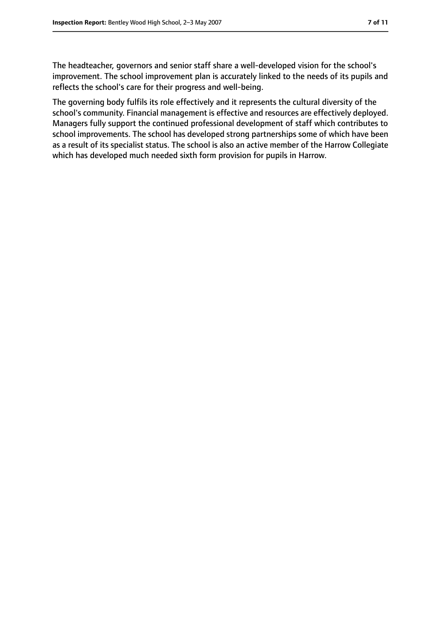The headteacher, governors and senior staff share a well-developed vision for the school's improvement. The school improvement plan is accurately linked to the needs of its pupils and reflects the school's care for their progress and well-being.

The governing body fulfils its role effectively and it represents the cultural diversity of the school's community. Financial management is effective and resources are effectively deployed. Managers fully support the continued professional development of staff which contributes to school improvements. The school has developed strong partnerships some of which have been as a result of its specialist status. The school is also an active member of the Harrow Collegiate which has developed much needed sixth form provision for pupils in Harrow.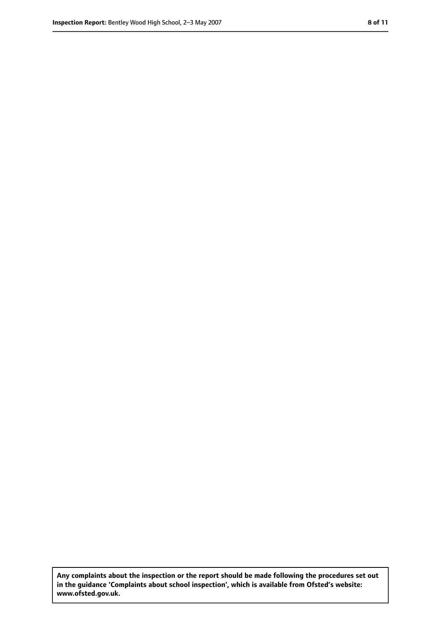**Any complaints about the inspection or the report should be made following the procedures set out in the guidance 'Complaints about school inspection', which is available from Ofsted's website: www.ofsted.gov.uk.**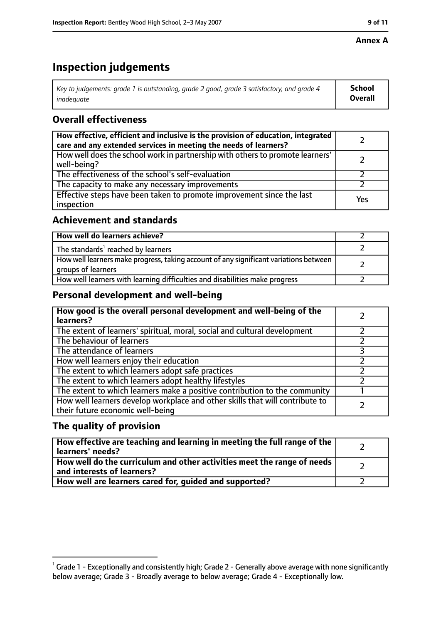#### **Annex A**

# **Inspection judgements**

| Key to judgements: grade 1 is outstanding, grade 2 good, grade 3 satisfactory, and grade 4 | <b>School</b>  |
|--------------------------------------------------------------------------------------------|----------------|
| inadeauate                                                                                 | <b>Overall</b> |

## **Overall effectiveness**

| How effective, efficient and inclusive is the provision of education, integrated<br>care and any extended services in meeting the needs of learners? |     |
|------------------------------------------------------------------------------------------------------------------------------------------------------|-----|
| How well does the school work in partnership with others to promote learners'<br>well-being?                                                         |     |
| The effectiveness of the school's self-evaluation                                                                                                    |     |
| The capacity to make any necessary improvements                                                                                                      |     |
| Effective steps have been taken to promote improvement since the last<br>inspection                                                                  | Yes |

## **Achievement and standards**

| How well do learners achieve?                                                                               |  |
|-------------------------------------------------------------------------------------------------------------|--|
| The standards <sup>1</sup> reached by learners                                                              |  |
| How well learners make progress, taking account of any significant variations between<br>groups of learners |  |
| How well learners with learning difficulties and disabilities make progress                                 |  |

## **Personal development and well-being**

| How good is the overall personal development and well-being of the<br>learners?                                  |  |
|------------------------------------------------------------------------------------------------------------------|--|
| The extent of learners' spiritual, moral, social and cultural development                                        |  |
| The behaviour of learners                                                                                        |  |
| The attendance of learners                                                                                       |  |
| How well learners enjoy their education                                                                          |  |
| The extent to which learners adopt safe practices                                                                |  |
| The extent to which learners adopt healthy lifestyles                                                            |  |
| The extent to which learners make a positive contribution to the community                                       |  |
| How well learners develop workplace and other skills that will contribute to<br>their future economic well-being |  |

## **The quality of provision**

| How effective are teaching and learning in meeting the full range of the<br>learners' needs?          |  |
|-------------------------------------------------------------------------------------------------------|--|
| How well do the curriculum and other activities meet the range of needs<br>and interests of learners? |  |
| How well are learners cared for, quided and supported?                                                |  |

 $^1$  Grade 1 - Exceptionally and consistently high; Grade 2 - Generally above average with none significantly below average; Grade 3 - Broadly average to below average; Grade 4 - Exceptionally low.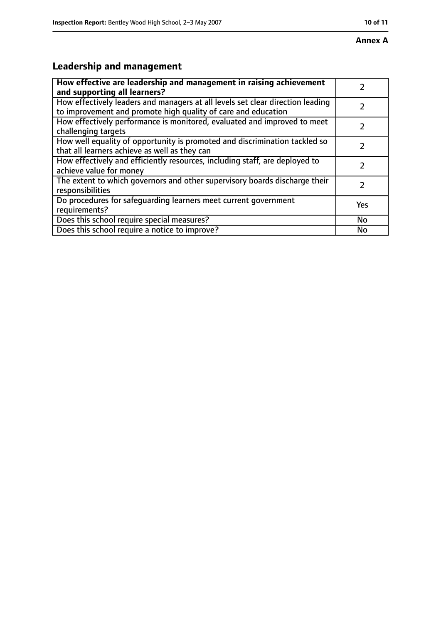# **Leadership and management**

| How effective are leadership and management in raising achievement<br>and supporting all learners?                                              |     |
|-------------------------------------------------------------------------------------------------------------------------------------------------|-----|
| How effectively leaders and managers at all levels set clear direction leading<br>to improvement and promote high quality of care and education |     |
| How effectively performance is monitored, evaluated and improved to meet<br>challenging targets                                                 |     |
| How well equality of opportunity is promoted and discrimination tackled so<br>that all learners achieve as well as they can                     |     |
| How effectively and efficiently resources, including staff, are deployed to<br>achieve value for money                                          | 2   |
| The extent to which governors and other supervisory boards discharge their<br>responsibilities                                                  | 2   |
| Do procedures for safequarding learners meet current government<br>requirements?                                                                | Yes |
| Does this school require special measures?                                                                                                      | No  |
| Does this school require a notice to improve?                                                                                                   | No  |